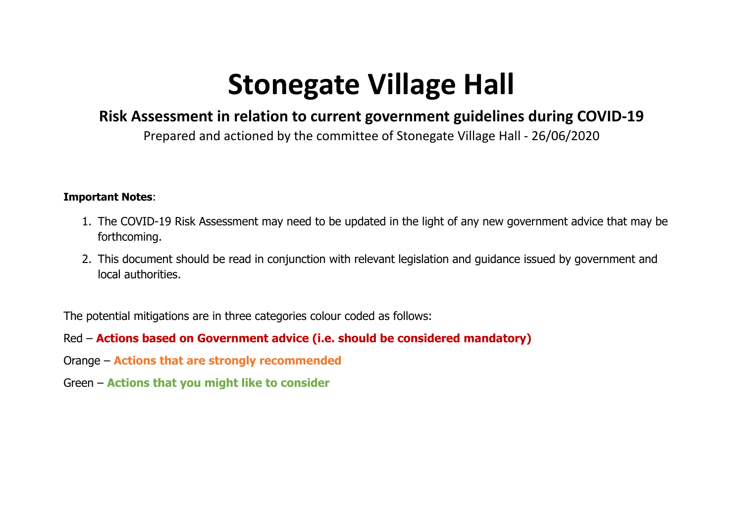## **Stonegate Village Hall**

## **Risk Assessment in relation to current government guidelines during COVID-19**

Prepared and actioned by the committee of Stonegate Village Hall - 26/06/2020

## **Important Notes**:

- 1. The COVID-19 Risk Assessment may need to be updated in the light of any new government advice that may be forthcoming.
- 2. This document should be read in conjunction with relevant legislation and guidance issued by government and local authorities.

The potential mitigations are in three categories colour coded as follows:

Red – **Actions based on Government advice (i.e. should be considered mandatory)**

- Orange **Actions that are strongly recommended**
- Green **Actions that you might like to consider**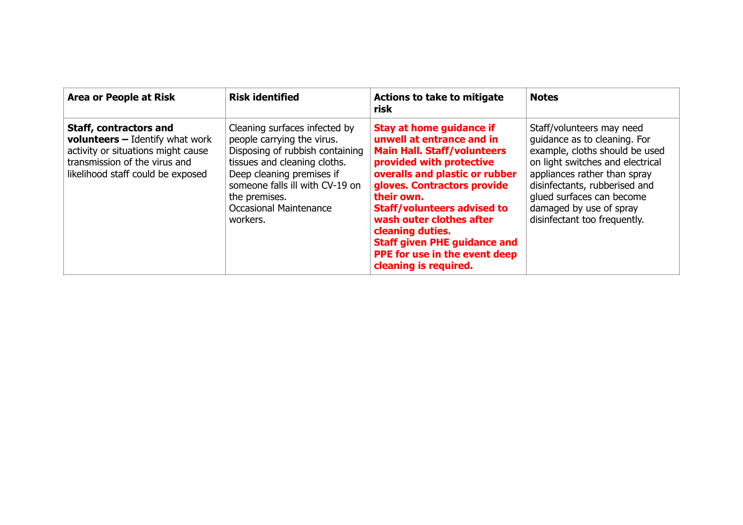| <b>Area or People at Risk</b>                                                                                                                                                         | <b>Risk identified</b>                                                                                                                                                                                                                                       | <b>Actions to take to mitigate</b><br>risk                                                                                                                                                                                                                                                                                                                                                           | <b>Notes</b>                                                                                                                                                                                                                                                                             |
|---------------------------------------------------------------------------------------------------------------------------------------------------------------------------------------|--------------------------------------------------------------------------------------------------------------------------------------------------------------------------------------------------------------------------------------------------------------|------------------------------------------------------------------------------------------------------------------------------------------------------------------------------------------------------------------------------------------------------------------------------------------------------------------------------------------------------------------------------------------------------|------------------------------------------------------------------------------------------------------------------------------------------------------------------------------------------------------------------------------------------------------------------------------------------|
| <b>Staff, contractors and</b><br><b>volunteers</b> $-$ Identify what work<br>activity or situations might cause<br>transmission of the virus and<br>likelihood staff could be exposed | Cleaning surfaces infected by<br>people carrying the virus.<br>Disposing of rubbish containing<br>tissues and cleaning cloths.<br>Deep cleaning premises if<br>someone falls ill with CV-19 on<br>the premises.<br><b>Occasional Maintenance</b><br>workers. | <b>Stay at home guidance if</b><br>unwell at entrance and in<br><b>Main Hall. Staff/volunteers</b><br>provided with protective<br>overalls and plastic or rubber<br>gloves. Contractors provide<br>their own.<br><b>Staff/volunteers advised to</b><br>wash outer clothes after<br>cleaning duties.<br><b>Staff given PHE guidance and</b><br>PPE for use in the event deep<br>cleaning is required. | Staff/volunteers may need<br>quidance as to cleaning. For<br>example, cloths should be used<br>on light switches and electrical<br>appliances rather than spray<br>disinfectants, rubberised and<br>glued surfaces can become<br>damaged by use of spray<br>disinfectant too frequently. |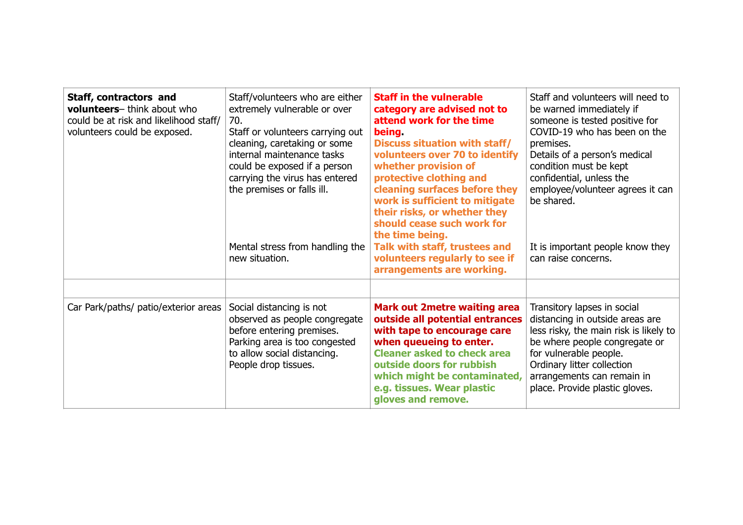| Staff, contractors and<br>volunteers-think about who<br>could be at risk and likelihood staff/<br>volunteers could be exposed. | Staff/volunteers who are either<br>extremely vulnerable or over<br>70.<br>Staff or volunteers carrying out<br>cleaning, caretaking or some<br>internal maintenance tasks<br>could be exposed if a person<br>carrying the virus has entered<br>the premises or falls ill.<br>Mental stress from handling the<br>new situation. | <b>Staff in the vulnerable</b><br>category are advised not to<br>attend work for the time<br><b>being</b><br><b>Discuss situation with staff/</b><br>volunteers over 70 to identify<br>whether provision of<br>protective clothing and<br>cleaning surfaces before they<br>work is sufficient to mitigate<br>their risks, or whether they<br>should cease such work for<br>the time being.<br>Talk with staff, trustees and<br>volunteers regularly to see if<br>arrangements are working. | Staff and volunteers will need to<br>be warned immediately if<br>someone is tested positive for<br>COVID-19 who has been on the<br>premises.<br>Details of a person's medical<br>condition must be kept<br>confidential, unless the<br>employee/volunteer agrees it can<br>be shared.<br>It is important people know they<br>can raise concerns. |
|--------------------------------------------------------------------------------------------------------------------------------|-------------------------------------------------------------------------------------------------------------------------------------------------------------------------------------------------------------------------------------------------------------------------------------------------------------------------------|--------------------------------------------------------------------------------------------------------------------------------------------------------------------------------------------------------------------------------------------------------------------------------------------------------------------------------------------------------------------------------------------------------------------------------------------------------------------------------------------|--------------------------------------------------------------------------------------------------------------------------------------------------------------------------------------------------------------------------------------------------------------------------------------------------------------------------------------------------|
| Car Park/paths/ patio/exterior areas                                                                                           | Social distancing is not<br>observed as people congregate<br>before entering premises.<br>Parking area is too congested<br>to allow social distancing.<br>People drop tissues.                                                                                                                                                | <b>Mark out 2metre waiting area</b><br>outside all potential entrances<br>with tape to encourage care<br>when queueing to enter.<br><b>Cleaner asked to check area</b><br>outside doors for rubbish<br>which might be contaminated,<br>e.g. tissues. Wear plastic<br>gloves and remove.                                                                                                                                                                                                    | Transitory lapses in social<br>distancing in outside areas are<br>less risky, the main risk is likely to<br>be where people congregate or<br>for vulnerable people.<br>Ordinary litter collection<br>arrangements can remain in<br>place. Provide plastic gloves.                                                                                |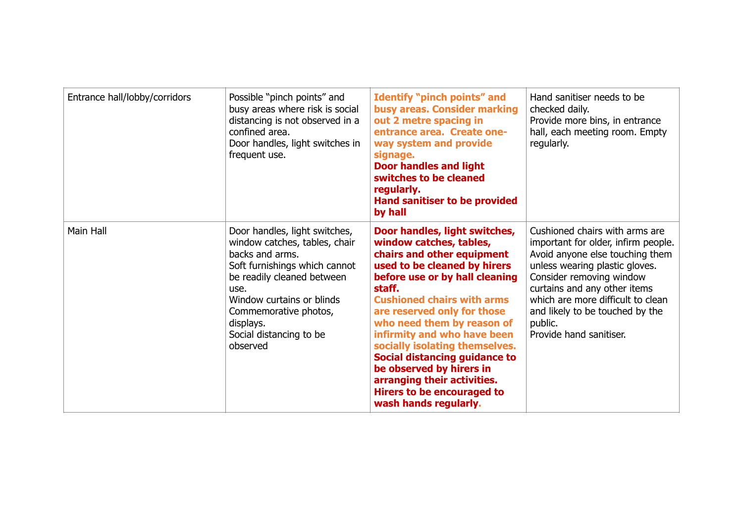| Entrance hall/lobby/corridors | Possible "pinch points" and<br>busy areas where risk is social<br>distancing is not observed in a<br>confined area.<br>Door handles, light switches in<br>frequent use.                                                                                            | <b>Identify "pinch points" and</b><br>busy areas. Consider marking<br>out 2 metre spacing in<br>entrance area. Create one-<br>way system and provide<br>signage.<br><b>Door handles and light</b><br>switches to be cleaned<br>regularly.<br>Hand sanitiser to be provided<br>by hall                                                                                                                                                                                                    | Hand sanitiser needs to be<br>checked daily.<br>Provide more bins, in entrance<br>hall, each meeting room. Empty<br>regularly.                                                                                                                                                                                       |
|-------------------------------|--------------------------------------------------------------------------------------------------------------------------------------------------------------------------------------------------------------------------------------------------------------------|------------------------------------------------------------------------------------------------------------------------------------------------------------------------------------------------------------------------------------------------------------------------------------------------------------------------------------------------------------------------------------------------------------------------------------------------------------------------------------------|----------------------------------------------------------------------------------------------------------------------------------------------------------------------------------------------------------------------------------------------------------------------------------------------------------------------|
| Main Hall                     | Door handles, light switches,<br>window catches, tables, chair<br>backs and arms.<br>Soft furnishings which cannot<br>be readily cleaned between<br>use.<br>Window curtains or blinds<br>Commemorative photos,<br>displays.<br>Social distancing to be<br>observed | Door handles, light switches,<br>window catches, tables,<br>chairs and other equipment<br>used to be cleaned by hirers<br>before use or by hall cleaning<br>staff.<br><b>Cushioned chairs with arms</b><br>are reserved only for those<br>who need them by reason of<br>infirmity and who have been<br>socially isolating themselves.<br>Social distancing guidance to<br>be observed by hirers in<br>arranging their activities.<br>Hirers to be encouraged to<br>wash hands regularly. | Cushioned chairs with arms are<br>important for older, infirm people.<br>Avoid anyone else touching them<br>unless wearing plastic gloves.<br>Consider removing window<br>curtains and any other items<br>which are more difficult to clean<br>and likely to be touched by the<br>public.<br>Provide hand sanitiser. |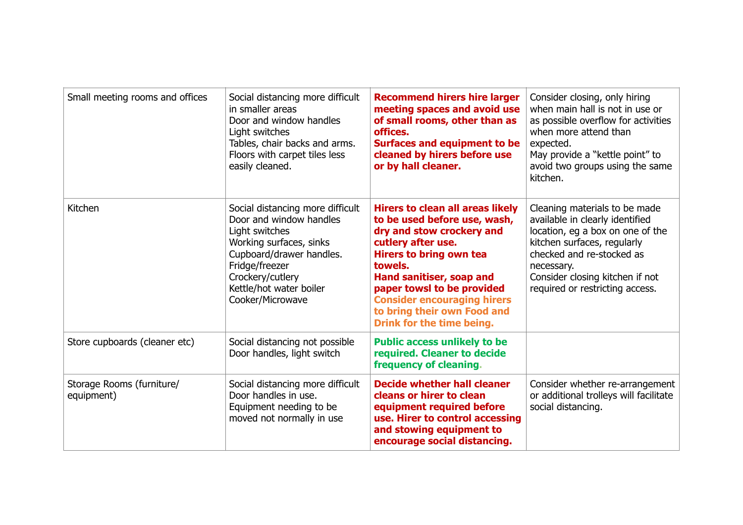| Small meeting rooms and offices         | Social distancing more difficult<br>in smaller areas<br>Door and window handles<br>Light switches<br>Tables, chair backs and arms.<br>Floors with carpet tiles less<br>easily cleaned.                                    | <b>Recommend hirers hire larger</b><br>meeting spaces and avoid use<br>of small rooms, other than as<br>offices.<br><b>Surfaces and equipment to be</b><br>cleaned by hirers before use<br>or by hall cleaner.                                                                                                                      | Consider closing, only hiring<br>when main hall is not in use or<br>as possible overflow for activities<br>when more attend than<br>expected.<br>May provide a "kettle point" to<br>avoid two groups using the same<br>kitchen.                      |
|-----------------------------------------|---------------------------------------------------------------------------------------------------------------------------------------------------------------------------------------------------------------------------|-------------------------------------------------------------------------------------------------------------------------------------------------------------------------------------------------------------------------------------------------------------------------------------------------------------------------------------|------------------------------------------------------------------------------------------------------------------------------------------------------------------------------------------------------------------------------------------------------|
| Kitchen                                 | Social distancing more difficult<br>Door and window handles<br>Light switches<br>Working surfaces, sinks<br>Cupboard/drawer handles.<br>Fridge/freezer<br>Crockery/cutlery<br>Kettle/hot water boiler<br>Cooker/Microwave | <b>Hirers to clean all areas likely</b><br>to be used before use, wash,<br>dry and stow crockery and<br>cutlery after use.<br><b>Hirers to bring own tea</b><br>towels.<br>Hand sanitiser, soap and<br>paper towsl to be provided<br><b>Consider encouraging hirers</b><br>to bring their own Food and<br>Drink for the time being. | Cleaning materials to be made<br>available in clearly identified<br>location, eg a box on one of the<br>kitchen surfaces, regularly<br>checked and re-stocked as<br>necessary.<br>Consider closing kitchen if not<br>required or restricting access. |
| Store cupboards (cleaner etc)           | Social distancing not possible<br>Door handles, light switch                                                                                                                                                              | <b>Public access unlikely to be</b><br>required. Cleaner to decide<br>frequency of cleaning.                                                                                                                                                                                                                                        |                                                                                                                                                                                                                                                      |
| Storage Rooms (furniture/<br>equipment) | Social distancing more difficult<br>Door handles in use.<br>Equipment needing to be<br>moved not normally in use                                                                                                          | <b>Decide whether hall cleaner</b><br>cleans or hirer to clean<br>equipment required before<br>use. Hirer to control accessing<br>and stowing equipment to<br>encourage social distancing.                                                                                                                                          | Consider whether re-arrangement<br>or additional trolleys will facilitate<br>social distancing.                                                                                                                                                      |